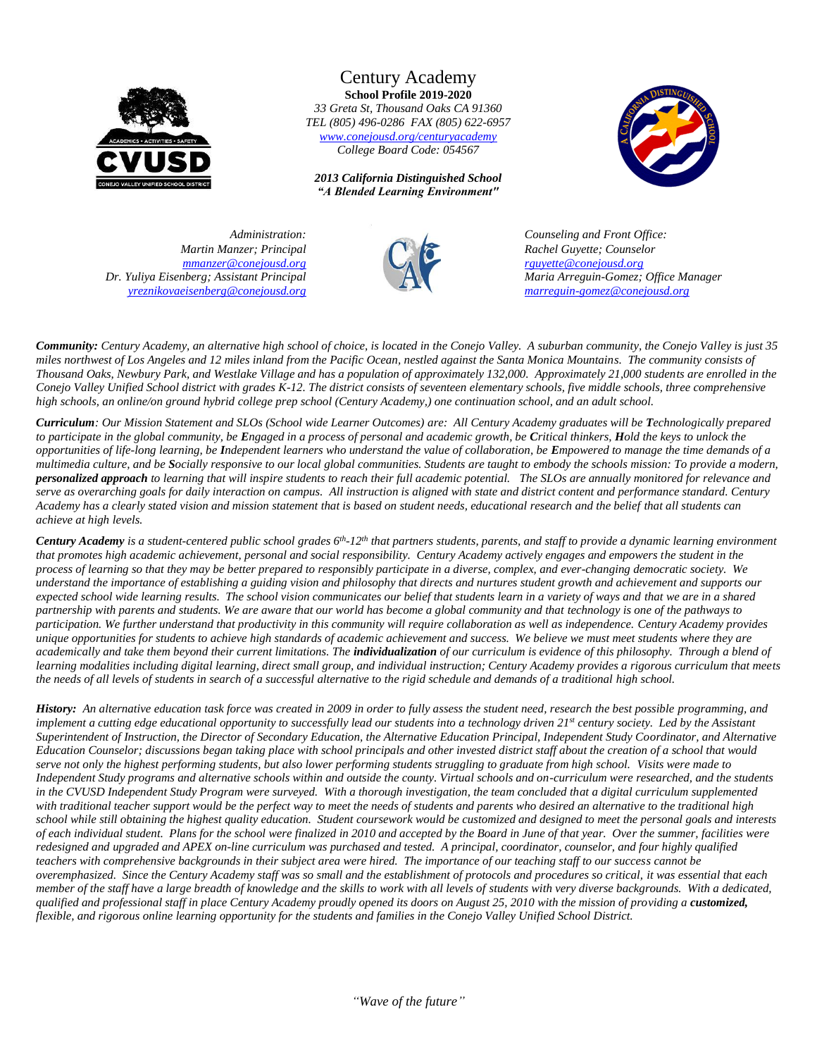

Century Academy **School Profile 2019-2020** *33 Greta St, Thousand Oaks CA 91360 TEL (805) 496-0286 FAX (805) 622-6957 [www.conejousd.org/centuryacademy](http://www.conejousd.org/centuryacademy) College Board Code: 054567*

*2013 California Distinguished School "A Blended Learning Environment"*



*Martin Manzer; Principal [mmanzer@conejousd.org](mailto:mmanzer@conejousd.org) Dr. Yuliya Eisenberg; Assistant Principal [yreznikovaeisenberg@conejousd.org](mailto:yreznikovaeisenberg@conejousd.org)*



 *Administration: Counseling and Front Office: Rachel Guyette; Counselor [rguyette@conejousd.org](mailto:rguyette@conejousd.org) Maria Arreguin-Gomez; Office Manager [marreguin-gomez@conejousd.org](mailto:marreguin-gomez@conejousd.org)*

*Community: Century Academy, an alternative high school of choice, is located in the Conejo Valley. A suburban community, the Conejo Valley is just 35 miles northwest of Los Angeles and 12 miles inland from the Pacific Ocean, nestled against the Santa Monica Mountains. The community consists of Thousand Oaks, Newbury Park, and Westlake Village and has a population of approximately 132,000. Approximately 21,000 students are enrolled in the Conejo Valley Unified School district with grades K-12. The district consists of seventeen elementary schools, five middle schools, three comprehensive high schools, an online/on ground hybrid college prep school (Century Academy,) one continuation school, and an adult school.*

*Curriculum: Our Mission Statement and SLOs (School wide Learner Outcomes) are: All Century Academy graduates will be Technologically prepared to participate in the global community, be Engaged in a process of personal and academic growth, be Critical thinkers, Hold the keys to unlock the opportunities of life-long learning, be Independent learners who understand the value of collaboration, be Empowered to manage the time demands of a multimedia culture, and be Socially responsive to our local global communities. Students are taught to embody the schools mission: To provide a modern, personalized approach to learning that will inspire students to reach their full academic potential. The SLOs are annually monitored for relevance and serve as overarching goals for daily interaction on campus. All instruction is aligned with state and district content and performance standard. Century Academy has a clearly stated vision and mission statement that is based on student needs, educational research and the belief that all students can achieve at high levels.*

Century Academy is a student-centered public school grades 6<sup>th</sup>-12<sup>th</sup> that partners students, parents, and staff to provide a dynamic learning environment *that promotes high academic achievement, personal and social responsibility. Century Academy actively engages and empowers the student in the process of learning so that they may be better prepared to responsibly participate in a diverse, complex, and ever-changing democratic society. We understand the importance of establishing a guiding vision and philosophy that directs and nurtures student growth and achievement and supports our expected school wide learning results. The school vision communicates our belief that students learn in a variety of ways and that we are in a shared partnership with parents and students. We are aware that our world has become a global community and that technology is one of the pathways to participation. We further understand that productivity in this community will require collaboration as well as independence. Century Academy provides unique opportunities for students to achieve high standards of academic achievement and success. We believe we must meet students where they are academically and take them beyond their current limitations. The individualization of our curriculum is evidence of this philosophy. Through a blend of learning modalities including digital learning, direct small group, and individual instruction; Century Academy provides a rigorous curriculum that meets the needs of all levels of students in search of a successful alternative to the rigid schedule and demands of a traditional high school.* 

*History: An alternative education task force was created in 2009 in order to fully assess the student need, research the best possible programming, and implement a cutting edge educational opportunity to successfully lead our students into a technology driven 21st century society. Led by the Assistant Superintendent of Instruction, the Director of Secondary Education, the Alternative Education Principal, Independent Study Coordinator, and Alternative Education Counselor; discussions began taking place with school principals and other invested district staff about the creation of a school that would serve not only the highest performing students, but also lower performing students struggling to graduate from high school. Visits were made to Independent Study programs and alternative schools within and outside the county. Virtual schools and on-curriculum were researched, and the students*  in the CVUSD Independent Study Program were surveyed. With a thorough investigation, the team concluded that a digital curriculum supplemented *with traditional teacher support would be the perfect way to meet the needs of students and parents who desired an alternative to the traditional high school while still obtaining the highest quality education. Student coursework would be customized and designed to meet the personal goals and interests of each individual student. Plans for the school were finalized in 2010 and accepted by the Board in June of that year. Over the summer, facilities were redesigned and upgraded and APEX on-line curriculum was purchased and tested. A principal, coordinator, counselor, and four highly qualified teachers with comprehensive backgrounds in their subject area were hired. The importance of our teaching staff to our success cannot be overemphasized. Since the Century Academy staff was so small and the establishment of protocols and procedures so critical, it was essential that each member of the staff have a large breadth of knowledge and the skills to work with all levels of students with very diverse backgrounds. With a dedicated, qualified and professional staff in place Century Academy proudly opened its doors on August 25, 2010 with the mission of providing a customized, flexible, and rigorous online learning opportunity for the students and families in the Conejo Valley Unified School District.*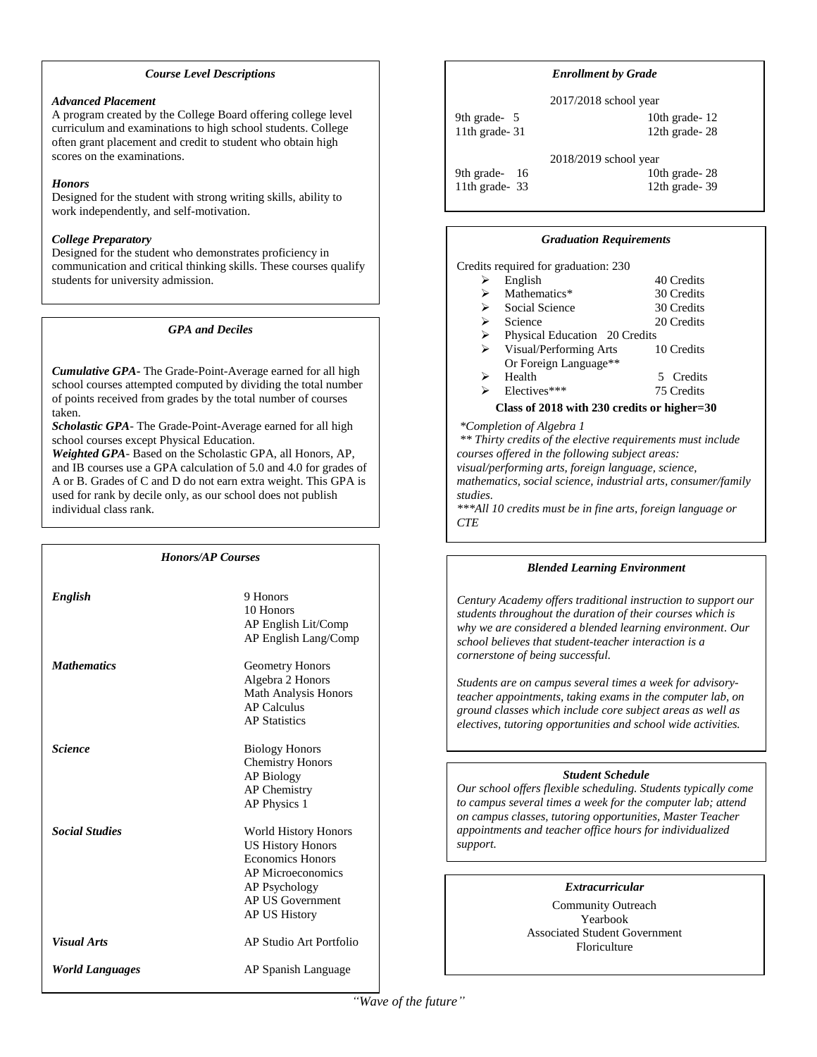#### *Course Level Descriptions*

#### *Advanced Placement*

A program created by the College Board offering college level curriculum and examinations to high school students. College often grant placement and credit to student who obtain high scores on the examinations.

## *Honors*

Designed for the student with strong writing skills, ability to work independently, and self-motivation.

## *College Preparatory*

Designed for the student who demonstrates proficiency in communication and critical thinking skills. These courses qualify students for university admission.

## *GPA and Deciles*

*Cumulative GPA***-** The Grade-Point-Average earned for all high school courses attempted computed by dividing the total number of points received from grades by the total number of courses taken.

*Scholastic GPA*- The Grade-Point-Average earned for all high school courses except Physical Education.

*Weighted GPA*- Based on the Scholastic GPA, all Honors, AP, and IB courses use a GPA calculation of 5.0 and 4.0 for grades of A or B. Grades of C and D do not earn extra weight. This GPA is used for rank by decile only, as our school does not publish individual class rank.

| <b>Honors/AP Courses</b> |                                                                                                                                                                      |  |
|--------------------------|----------------------------------------------------------------------------------------------------------------------------------------------------------------------|--|
| English                  | 9 Honors<br>10 Honors<br>AP English Lit/Comp<br>AP English Lang/Comp                                                                                                 |  |
| <b>Mathematics</b>       | Geometry Honors<br>Algebra 2 Honors<br><b>Math Analysis Honors</b><br><b>AP Calculus</b><br><b>AP Statistics</b>                                                     |  |
| <b>Science</b>           | <b>Biology Honors</b><br><b>Chemistry Honors</b><br><b>AP Biology</b><br><b>AP</b> Chemistry<br>AP Physics 1                                                         |  |
| <b>Social Studies</b>    | <b>World History Honors</b><br><b>US History Honors</b><br><b>Economics Honors</b><br><b>AP Microeconomics</b><br>AP Psychology<br>AP US Government<br>AP US History |  |
| <b>Visual Arts</b>       | AP Studio Art Portfolio                                                                                                                                              |  |
| <b>World Languages</b>   | AP Spanish Language                                                                                                                                                  |  |

## *Enrollment by Grade*

2017/2018 school year 9th grade- 5 10th grade- 12

11th grade- 31 12th grade- 28 2018/2019 school year 9th grade- 16 10th grade- 28

11th grade- 33 12th grade- 39

#### *Graduation Requirements*

Credits required for graduation: 230

|   | English                       | 40 Credits |
|---|-------------------------------|------------|
| ↘ | Mathematics*                  | 30 Credits |
| ↘ | Social Science                | 30 Credits |
| ⋗ | Science                       | 20 Credits |
| ⋗ | Physical Education 20 Credits |            |
| ⋗ | Visual/Performing Arts        | 10 Credits |
|   | Or Foreign Language**         |            |
|   | Health                        | 5 Credits  |
|   |                               |            |

Electives\*\*\* 75 Credits

## **Class of 2018 with 230 credits or higher=30**

*\*Completion of Algebra 1*

*\*\* Thirty credits of the elective requirements must include courses offered in the following subject areas: visual/performing arts, foreign language, science, mathematics, social science, industrial arts, consumer/family studies. \*\*\*All 10 credits must be in fine arts, foreign language or* 

*CTE*

j

## *Blended Learning Environment*

*Century Academy offers traditional instruction to support our students throughout the duration of their courses which is why we are considered a blended learning environment. Our school believes that student-teacher interaction is a cornerstone of being successful.* 

*Students are on campus several times a week for advisoryteacher appointments, taking exams in the computer lab, on ground classes which include core subject areas as well as electives, tutoring opportunities and school wide activities.* 

## *Student Schedule*

*Our school offers flexible scheduling. Students typically come to campus several times a week for the computer lab; attend on campus classes, tutoring opportunities, Master Teacher appointments and teacher office hours for individualized support.*

## *Extracurricular*

Community Outreach Yearbook Associated Student Government Floriculture